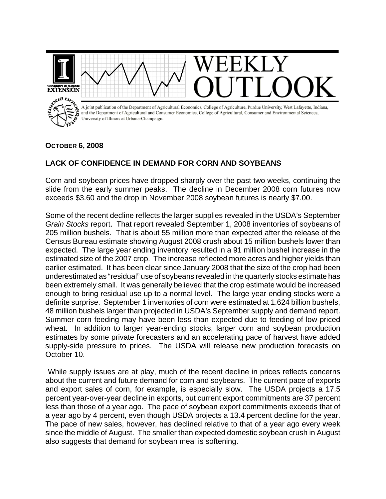

## **OCTOBER 6, 2008**

## **LACK OF CONFIDENCE IN DEMAND FOR CORN AND SOYBEANS**

Corn and soybean prices have dropped sharply over the past two weeks, continuing the slide from the early summer peaks. The decline in December 2008 corn futures now exceeds \$3.60 and the drop in November 2008 soybean futures is nearly \$7.00.

Some of the recent decline reflects the larger supplies revealed in the USDA's September *Grain Stocks* report. That report revealed September 1, 2008 inventories of soybeans of 205 million bushels. That is about 55 million more than expected after the release of the Census Bureau estimate showing August 2008 crush about 15 million bushels lower than expected. The large year ending inventory resulted in a 91 million bushel increase in the estimated size of the 2007 crop. The increase reflected more acres and higher yields than earlier estimated. It has been clear since January 2008 that the size of the crop had been underestimated as "residual" use of soybeans revealed in the quarterly stocks estimate has been extremely small. It was generally believed that the crop estimate would be increased enough to bring residual use up to a normal level. The large year ending stocks were a definite surprise. September 1 inventories of corn were estimated at 1.624 billion bushels, 48 million bushels larger than projected in USDA's September supply and demand report. Summer corn feeding may have been less than expected due to feeding of low-priced wheat. In addition to larger year-ending stocks, larger corn and soybean production estimates by some private forecasters and an accelerating pace of harvest have added supply-side pressure to prices. The USDA will release new production forecasts on October 10.

 While supply issues are at play, much of the recent decline in prices reflects concerns about the current and future demand for corn and soybeans. The current pace of exports and export sales of corn, for example, is especially slow. The USDA projects a 17.5 percent year-over-year decline in exports, but current export commitments are 37 percent less than those of a year ago. The pace of soybean export commitments exceeds that of a year ago by 4 percent, even though USDA projects a 13.4 percent decline for the year. The pace of new sales, however, has declined relative to that of a year ago every week since the middle of August. The smaller than expected domestic soybean crush in August also suggests that demand for soybean meal is softening.